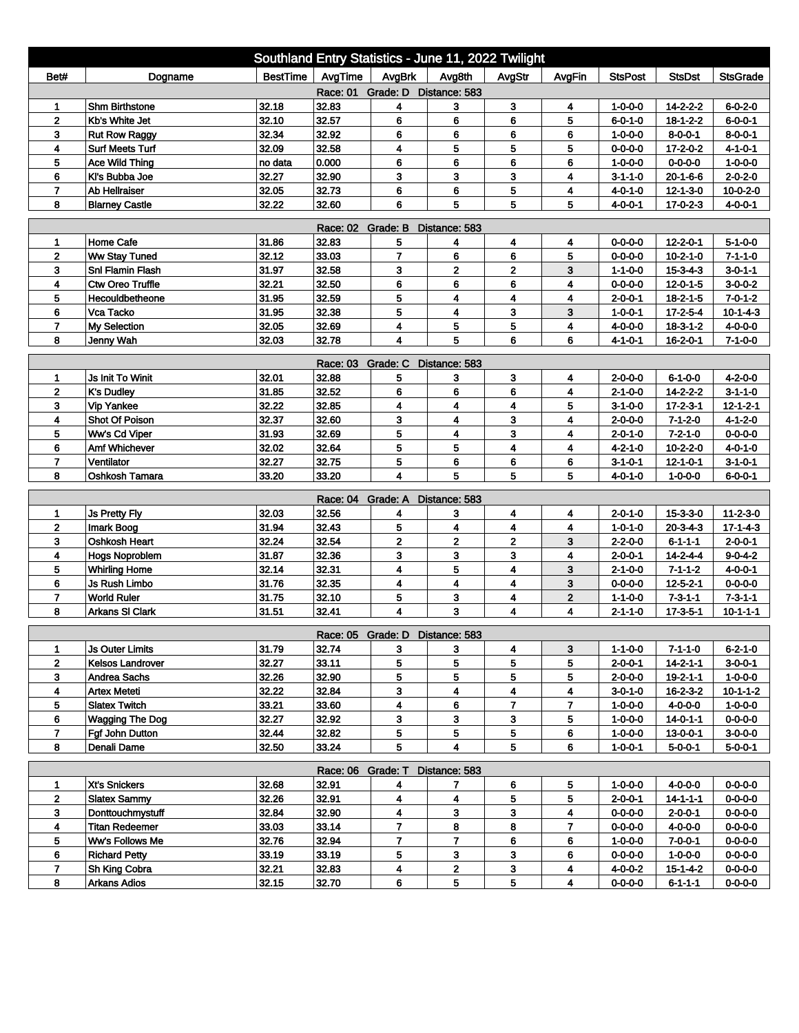| Southland Entry Statistics - June 11, 2022 Twilight |                                                   |                 |                   |                                 |                         |                         |              |                                    |                              |                                    |  |
|-----------------------------------------------------|---------------------------------------------------|-----------------|-------------------|---------------------------------|-------------------------|-------------------------|--------------|------------------------------------|------------------------------|------------------------------------|--|
| Bet#                                                | Dogname                                           | <b>BestTime</b> | AvgTime           | AvgBrk                          | Avg8th                  | AvgStr                  | AvgFin       | <b>StsPost</b>                     | <b>StsDst</b>                | <b>StsGrade</b>                    |  |
| Race: 01 Grade: D Distance: 583                     |                                                   |                 |                   |                                 |                         |                         |              |                                    |                              |                                    |  |
| 1                                                   | <b>Shm Birthstone</b>                             | 32.18           | 32.83             | 4                               | 3                       | 3                       | 4            | $1 - 0 - 0 - 0$                    | $14 - 2 - 2 - 2$             | $6 - 0 - 2 - 0$                    |  |
| $\mathbf 2$                                         | Kb's White Jet                                    | 32.10           | 32.57             | 6                               | 6                       | 6                       | 5            | $6 - 0 - 1 - 0$                    | $18 - 1 - 2 - 2$             | $6 - 0 - 0 - 1$                    |  |
| 3                                                   | <b>Rut Row Raggy</b>                              | 32.34           | 32.92             | 6                               | 6                       | 6                       | 6            | $1 - 0 - 0 - 0$                    | $8 - 0 - 0 - 1$              | $8 - 0 - 0 - 1$                    |  |
| 4                                                   | <b>Surf Meets Turf</b>                            | 32.09           | 32.58             | 4                               | 5                       | 5                       | 5            | $0 - 0 - 0 - 0$                    | 17-2-0-2                     | $4 - 1 - 0 - 1$                    |  |
| 5                                                   | <b>Ace Wild Thing</b>                             | no data         | 0.000             | 6                               | 6                       | 6                       | 6            | $1 - 0 - 0 - 0$                    | $0 - 0 - 0 - 0$              | $1 - 0 - 0 - 0$                    |  |
| 6                                                   | KI's Bubba Joe                                    | 32.27           | 32.90             | 3                               | 3                       | 3                       | 4            | $3 - 1 - 1 - 0$                    | $20 - 1 - 6 - 6$             | $2 - 0 - 2 - 0$                    |  |
| $\overline{7}$                                      | Ab Hellraiser                                     | 32.05           | 32.73             | 6                               | 6                       | 5                       | 4            | 4-0-1-0                            | $12 - 1 - 3 - 0$             | 10-0-2-0                           |  |
| 8                                                   | <b>Blarney Castle</b>                             | 32.22           | 32.60             | 6                               | 5                       | 5                       | 5            | $4 - 0 - 0 - 1$                    | 17-0-2-3                     | $4 - 0 - 0 - 1$                    |  |
| Race: 02 Grade: B<br>Distance: 583                  |                                                   |                 |                   |                                 |                         |                         |              |                                    |                              |                                    |  |
| 1                                                   | <b>Home Cafe</b>                                  | 31.86           | 32.83             | 5                               | 4                       | 4                       | 4            | $0 - 0 - 0 - 0$                    | $12 - 2 - 0 - 1$             | $5 - 1 - 0 - 0$                    |  |
| $\mathbf{2}$                                        | Ww Stay Tuned                                     | 32.12           | 33.03             | $\overline{7}$                  | 6                       | 6                       | 5            | $0 - 0 - 0 - 0$                    | $10 - 2 - 1 - 0$             | $7 - 1 - 1 - 0$                    |  |
| 3                                                   | Snl Flamin Flash                                  | 31.97           | 32.58             | 3                               | $\mathbf 2$             | $\overline{\mathbf{2}}$ | 3            | $1 - 1 - 0 - 0$                    | $15 - 3 - 4 - 3$             | $3 - 0 - 1 - 1$                    |  |
| 4                                                   | <b>Ctw Oreo Truffle</b>                           | 32.21           | 32.50             | 6                               | 6                       | 6                       | 4            | $0 - 0 - 0 - 0$                    | $12 - 0 - 1 - 5$             | $3 - 0 - 0 - 2$                    |  |
| 5                                                   | Hecouldbetheone                                   | 31.95           | 32.59             | 5                               | 4                       | 4                       | 4            | $2 - 0 - 0 - 1$                    | $18 - 2 - 1 - 5$             | $7 - 0 - 1 - 2$                    |  |
| 6                                                   | Vca Tacko                                         | 31.95           | 32.38             | 5                               | 4                       | 3                       | 3            | $1 - 0 - 0 - 1$                    | $17 - 2 - 5 - 4$             | $10 - 1 - 4 - 3$                   |  |
| $\overline{7}$                                      | <b>My Selection</b>                               | 32.05           | 32.69             | 4                               | 5                       | 5                       | 4            | $4 - 0 - 0 - 0$                    | $18 - 3 - 1 - 2$             | $4 - 0 - 0 - 0$                    |  |
| 8                                                   | Jenny Wah                                         | 32.03           | 32.78             | 4                               | 5                       | 6                       | 6            | $4 - 1 - 0 - 1$                    | $16 - 2 - 0 - 1$             | $7 - 1 - 0 - 0$                    |  |
|                                                     |                                                   |                 | Race: 03 Grade: C |                                 | Distance: 583           |                         |              |                                    |                              |                                    |  |
| 1                                                   | Js Init To Winit                                  | 32.01           | 32.88             | 5                               | 3                       | 3                       | 4            | $2 - 0 - 0 - 0$                    | $6 - 1 - 0 - 0$              | $4 - 2 - 0 - 0$                    |  |
| $\mathbf 2$                                         | <b>K's Dudley</b>                                 | 31.85           | 32.52             | 6                               | 6                       | 6                       | 4            | $2 - 1 - 0 - 0$                    | $14 - 2 - 2 - 2$             | $3 - 1 - 1 - 0$                    |  |
| 3                                                   | <b>Vip Yankee</b>                                 | 32.22           | 32.85             | 4                               | $\overline{\mathbf{4}}$ | 4                       | 5            | $3 - 1 - 0 - 0$                    | $17 - 2 - 3 - 1$             | $12 - 1 - 2 - 1$                   |  |
| 4                                                   | <b>Shot Of Poison</b>                             | 32.37           | 32.60             | 3                               | 4                       | 3                       | 4            | $2 - 0 - 0 - 0$                    | $7-1-2-0$                    | $4 - 1 - 2 - 0$                    |  |
| 5                                                   | Ww's Cd Viper                                     | 31.93           | 32.69             | 5                               | 4                       | 3                       | 4            | $2 - 0 - 1 - 0$                    | $7 - 2 - 1 - 0$              | $0 - 0 - 0 - 0$                    |  |
| 6                                                   | <b>Amf Whichever</b>                              | 32.02           | 32.64             | 5                               | 5                       | 4                       | 4            | $4 - 2 - 1 - 0$                    | 10-2-2-0                     | $4 - 0 - 1 - 0$                    |  |
| 7                                                   | Ventilator                                        | 32.27           | 32.75             | 5                               | 6                       | 6                       | 6            | $3 - 1 - 0 - 1$                    | $12 - 1 - 0 - 1$             | $3 - 1 - 0 - 1$                    |  |
| 8                                                   | Oshkosh Tamara                                    | 33.20           | 33.20             | 4                               | 5                       | 5                       | 5            | $4 - 0 - 1 - 0$                    | $1 - 0 - 0 - 0$              | $6 - 0 - 0 - 1$                    |  |
|                                                     |                                                   |                 | Race: 04          | Grade: A                        | Distance: 583           |                         |              |                                    |                              |                                    |  |
| 1                                                   | Js Pretty Fly                                     | 32.03           | 32.56             | 4                               | 3                       | 4                       | 4            | $2 - 0 - 1 - 0$                    | $15 - 3 - 3 - 0$             | $11 - 2 - 3 - 0$                   |  |
| $\mathbf 2$                                         | Imark Boog                                        | 31.94           | 32.43             | 5                               | 4                       | 4                       | 4            | $1 - 0 - 1 - 0$                    | $20 - 3 - 4 - 3$             | $17 - 1 - 4 - 3$                   |  |
| 3                                                   | Oshkosh Heart                                     | 32.24           | 32.54             | $\mathbf 2$                     | $\mathbf 2$             | $\overline{2}$          | 3            | $2 - 2 - 0 - 0$                    | $6 - 1 - 1 - 1$              | $2 - 0 - 0 - 1$                    |  |
| 4                                                   | <b>Hogs Noproblem</b>                             | 31.87           | 32.36             | 3                               | 3                       | 3                       | 4            | $2 - 0 - 0 - 1$                    | $14 - 2 - 4 - 4$             | $9 - 0 - 4 - 2$                    |  |
| 5                                                   | <b>Whirling Home</b>                              | 32.14           | 32.31             | 4                               | 5                       | 4                       | 3            | $2 - 1 - 0 - 0$                    | $7 - 1 - 1 - 2$              | $4 - 0 - 0 - 1$                    |  |
| 6                                                   | Js Rush Limbo                                     | 31.76           | 32.35             | 4                               | 4                       | 4                       | 3            | $0 - 0 - 0 - 0$                    | $12 - 5 - 2 - 1$             | $0 - 0 - 0 - 0$                    |  |
| $\overline{7}$                                      | <b>World Ruler</b>                                | 31.75           | 32.10             | 5                               | 3                       | 4                       | $\mathbf{2}$ | $1 - 1 - 0 - 0$                    | $7 - 3 - 1 - 1$              | $7 - 3 - 1 - 1$                    |  |
| 8                                                   | <b>Arkans SI Clark</b>                            | 31.51           | 32.41             | 4                               | 3                       | 4                       | 4            | $2 - 1 - 1 - 0$                    | $17-3-5-1$                   | $10 - 1 - 1 - 1$                   |  |
|                                                     |                                                   |                 |                   |                                 |                         |                         |              |                                    |                              |                                    |  |
|                                                     |                                                   |                 | 32.74             | Race: 05 Grade: D Distance: 583 |                         |                         |              |                                    |                              |                                    |  |
| $\mathbf{2}$                                        | <b>Js Outer Limits</b><br><b>Kelsos Landrover</b> | 31.79<br>32.27  | 33.11             | 3<br>5                          | 3<br>5                  | 4<br>5                  | 3<br>5       | $1 - 1 - 0 - 0$<br>$2 - 0 - 0 - 1$ | $7 - 1 - 1 - 0$              | $6 - 2 - 1 - 0$<br>$3 - 0 - 0 - 1$ |  |
| 3                                                   | <b>Andrea Sachs</b>                               | 32.26           | 32.90             | 5                               | 5                       | 5                       | 5            | $2 - 0 - 0 - 0$                    | $14 - 2 - 1 - 1$<br>19-2-1-1 | $1 - 0 - 0 - 0$                    |  |
| 4                                                   | <b>Artex Meteti</b>                               | 32.22           | 32.84             | 3                               | 4                       | 4                       | 4            | $3 - 0 - 1 - 0$                    | $16 - 2 - 3 - 2$             | $10 - 1 - 1 - 2$                   |  |
| 5                                                   | <b>Slatex Twitch</b>                              | 33.21           | 33.60             | 4                               | 6                       | $\overline{7}$          | 7            | $1 - 0 - 0 - 0$                    | $4 - 0 - 0 - 0$              | $1 - 0 - 0 - 0$                    |  |
| 6                                                   | <b>Wagging The Dog</b>                            | 32.27           | 32.92             | 3                               | 3                       | 3                       | 5            | 1-0-0-0                            | $14 - 0 - 1 - 1$             | $0 - 0 - 0 - 0$                    |  |
| $\overline{7}$                                      | Fgf John Dutton                                   | 32.44           | 32.82             | 5                               | 5                       | 5                       | 6            | $1 - 0 - 0 - 0$                    | 13-0-0-1                     | $3-0-0-0$                          |  |
| 8                                                   | Denali Dame                                       | 32.50           | 33.24             | 5                               | 4                       | 5                       | 6            | $1 - 0 - 0 - 1$                    | $5 - 0 - 0 - 1$              | $5 - 0 - 0 - 1$                    |  |
|                                                     |                                                   |                 |                   |                                 |                         |                         |              |                                    |                              |                                    |  |
|                                                     |                                                   |                 | Race: 06 Grade: T |                                 | Distance: 583           |                         |              |                                    |                              |                                    |  |
| 1                                                   | Xt's Snickers                                     | 32.68           | 32.91             | 4                               | 7                       | 6                       | 5            | $1 - 0 - 0 - 0$                    | $4 - 0 - 0 - 0$              | $0 - 0 - 0 - 0$                    |  |
| $\mathbf{2}$                                        | <b>Slatex Sammy</b>                               | 32.26           | 32.91             | 4                               | 4                       | 5                       | 5            | 2-0-0-1                            | $14 - 1 - 1 - 1$             | $0 - 0 - 0 - 0$                    |  |
| 3 <sup>2</sup>                                      | Donttouchmystuff                                  | 32.84<br>33.03  | 32.90<br>33.14    | 4<br>$\overline{7}$             | 3                       | 3<br>8                  | 4<br>7       | $0 - 0 - 0 - 0$                    | $2 - 0 - 0 - 1$              | $0 - 0 - 0 - 0$                    |  |
| 4<br>5                                              | <b>Titan Redeemer</b><br>Ww's Follows Me          | 32.76           | 32.94             | $\overline{7}$                  | 8<br>7                  | 6                       | 6            | $0 - 0 - 0 - 0$<br>$1 - 0 - 0 - 0$ | 4-0-0-0<br>$7 - 0 - 0 - 1$   | $0 - 0 - 0 - 0$<br>$0 - 0 - 0 - 0$ |  |
| 6                                                   | <b>Richard Petty</b>                              | 33.19           | 33.19             | 5                               | 3                       | 3                       | 6            | $0 - 0 - 0 - 0$                    | $1 - 0 - 0 - 0$              | $0 - 0 - 0 - 0$                    |  |
| 7                                                   | Sh King Cobra                                     | 32.21           | 32.83             | 4                               | 2                       | 3                       | 4            | $4 - 0 - 0 - 2$                    | $15 - 1 - 4 - 2$             | $0 - 0 - 0 - 0$                    |  |
| 8                                                   | <b>Arkans Adios</b>                               | 32.15           | 32.70             | 6                               | 5                       | 5                       | 4            | $0 - 0 - 0 - 0$                    | $6 - 1 - 1 - 1$              | $0 - 0 - 0 - 0$                    |  |
|                                                     |                                                   |                 |                   |                                 |                         |                         |              |                                    |                              |                                    |  |